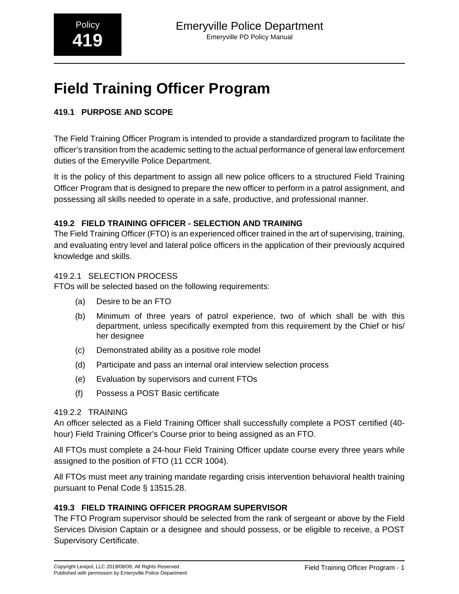# **Field Training Officer Program**

# **419.1 PURPOSE AND SCOPE**

The Field Training Officer Program is intended to provide a standardized program to facilitate the officer's transition from the academic setting to the actual performance of general law enforcement duties of the Emeryville Police Department.

It is the policy of this department to assign all new police officers to a structured Field Training Officer Program that is designed to prepare the new officer to perform in a patrol assignment, and possessing all skills needed to operate in a safe, productive, and professional manner.

# **419.2 FIELD TRAINING OFFICER - SELECTION AND TRAINING**

The Field Training Officer (FTO) is an experienced officer trained in the art of supervising, training, and evaluating entry level and lateral police officers in the application of their previously acquired knowledge and skills.

# 419.2.1 SELECTION PROCESS

FTOs will be selected based on the following requirements:

- (a) Desire to be an FTO
- (b) Minimum of three years of patrol experience, two of which shall be with this department, unless specifically exempted from this requirement by the Chief or his/ her designee
- (c) Demonstrated ability as a positive role model
- (d) Participate and pass an internal oral interview selection process
- (e) Evaluation by supervisors and current FTOs
- (f) Possess a POST Basic certificate

#### 419.2.2 TRAINING

An officer selected as a Field Training Officer shall successfully complete a POST certified (40 hour) Field Training Officer's Course prior to being assigned as an FTO.

All FTOs must complete a 24-hour Field Training Officer update course every three years while assigned to the position of FTO (11 CCR 1004).

All FTOs must meet any training mandate regarding crisis intervention behavioral health training pursuant to Penal Code § 13515.28.

# **419.3 FIELD TRAINING OFFICER PROGRAM SUPERVISOR**

The FTO Program supervisor should be selected from the rank of sergeant or above by the Field Services Division Captain or a designee and should possess, or be eligible to receive, a POST Supervisory Certificate.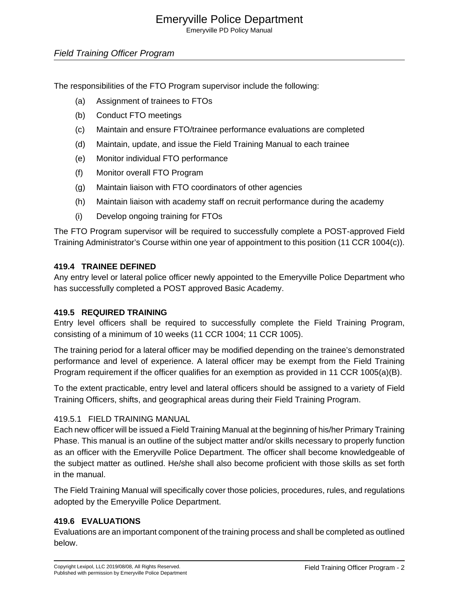# Emeryville Police Department

Emeryville PD Policy Manual

# Field Training Officer Program

The responsibilities of the FTO Program supervisor include the following:

- (a) Assignment of trainees to FTOs
- (b) Conduct FTO meetings
- (c) Maintain and ensure FTO/trainee performance evaluations are completed
- (d) Maintain, update, and issue the Field Training Manual to each trainee
- (e) Monitor individual FTO performance
- (f) Monitor overall FTO Program
- (g) Maintain liaison with FTO coordinators of other agencies
- (h) Maintain liaison with academy staff on recruit performance during the academy
- (i) Develop ongoing training for FTOs

The FTO Program supervisor will be required to successfully complete a POST-approved Field Training Administrator's Course within one year of appointment to this position (11 CCR 1004(c)).

#### **419.4 TRAINEE DEFINED**

Any entry level or lateral police officer newly appointed to the Emeryville Police Department who has successfully completed a POST approved Basic Academy.

#### **419.5 REQUIRED TRAINING**

Entry level officers shall be required to successfully complete the Field Training Program, consisting of a minimum of 10 weeks (11 CCR 1004; 11 CCR 1005).

The training period for a lateral officer may be modified depending on the trainee's demonstrated performance and level of experience. A lateral officer may be exempt from the Field Training Program requirement if the officer qualifies for an exemption as provided in 11 CCR 1005(a)(B).

To the extent practicable, entry level and lateral officers should be assigned to a variety of Field Training Officers, shifts, and geographical areas during their Field Training Program.

#### 419.5.1 FIELD TRAINING MANUAL

Each new officer will be issued a Field Training Manual at the beginning of his/her Primary Training Phase. This manual is an outline of the subject matter and/or skills necessary to properly function as an officer with the Emeryville Police Department. The officer shall become knowledgeable of the subject matter as outlined. He/she shall also become proficient with those skills as set forth in the manual.

The Field Training Manual will specifically cover those policies, procedures, rules, and regulations adopted by the Emeryville Police Department.

#### **419.6 EVALUATIONS**

Evaluations are an important component of the training process and shall be completed as outlined below.